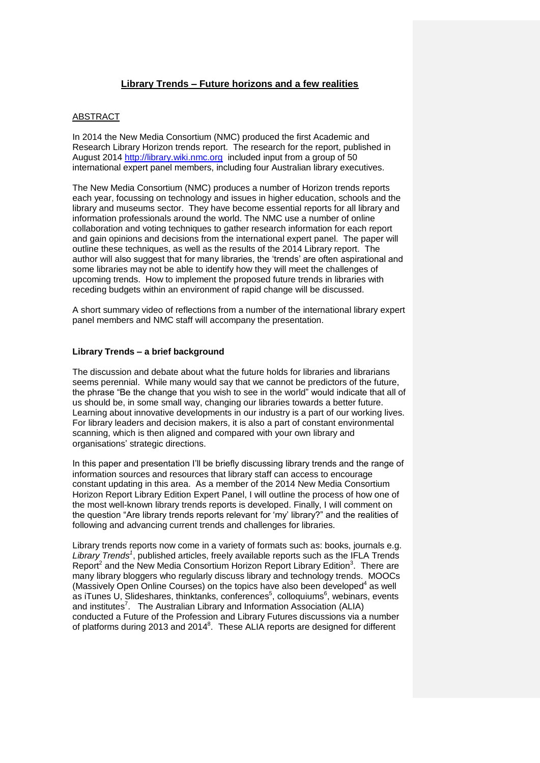# **Library Trends – Future horizons and a few realities**

# ABSTRACT

In 2014 the New Media Consortium (NMC) produced the first Academic and Research Library Horizon trends report. The research for the report, published in August 2014 [http://library.wiki.nmc.org](http://library.wiki.nmc.org/) included input from a group of 50 international expert panel members, including four Australian library executives.

The New Media Consortium (NMC) produces a number of Horizon trends reports each year, focussing on technology and issues in higher education, schools and the library and museums sector. They have become essential reports for all library and information professionals around the world. The NMC use a number of online collaboration and voting techniques to gather research information for each report and gain opinions and decisions from the international expert panel. The paper will outline these techniques, as well as the results of the 2014 Library report. The author will also suggest that for many libraries, the 'trends' are often aspirational and some libraries may not be able to identify how they will meet the challenges of upcoming trends. How to implement the proposed future trends in libraries with receding budgets within an environment of rapid change will be discussed.

A short summary video of reflections from a number of the international library expert panel members and NMC staff will accompany the presentation.

## **Library Trends – a brief background**

The discussion and debate about what the future holds for libraries and librarians seems perennial. While many would say that we cannot be predictors of the future, the phrase "Be the change that you wish to see in the world" would indicate that all of us should be, in some small way, changing our libraries towards a better future. Learning about innovative developments in our industry is a part of our working lives. For library leaders and decision makers, it is also a part of constant environmental scanning, which is then aligned and compared with your own library and organisations' strategic directions.

In this paper and presentation I'll be briefly discussing library trends and the range of information sources and resources that library staff can access to encourage constant updating in this area. As a member of the 2014 New Media Consortium Horizon Report Library Edition Expert Panel, I will outline the process of how one of the most well-known library trends reports is developed. Finally, I will comment on the question "Are library trends reports relevant for 'my' library?" and the realities of following and advancing current trends and challenges for libraries.

Library trends reports now come in a variety of formats such as: books, journals e.g. Library Trends<sup>1</sup>, published articles, freely available reports such as the IFLA Trends Report<sup>2</sup> and the New Media Consortium Horizon Report Library Edition<sup>3</sup>. There are many library bloggers who regularly discuss library and technology trends. MOOCs (Massively Open Online Courses) on the topics have also been developed<sup>4</sup> as well as iTunes U, Slideshares, thinktanks, conferences<sup>5</sup>, colloquiums<sup>6</sup>, webinars, events and institutes<sup>7</sup>. The Australian Library and Information Association (ALIA) conducted a Future of the Profession and Library Futures discussions via a number of platforms during 2013 and 2014 $^8$ . These ALIA reports are designed for different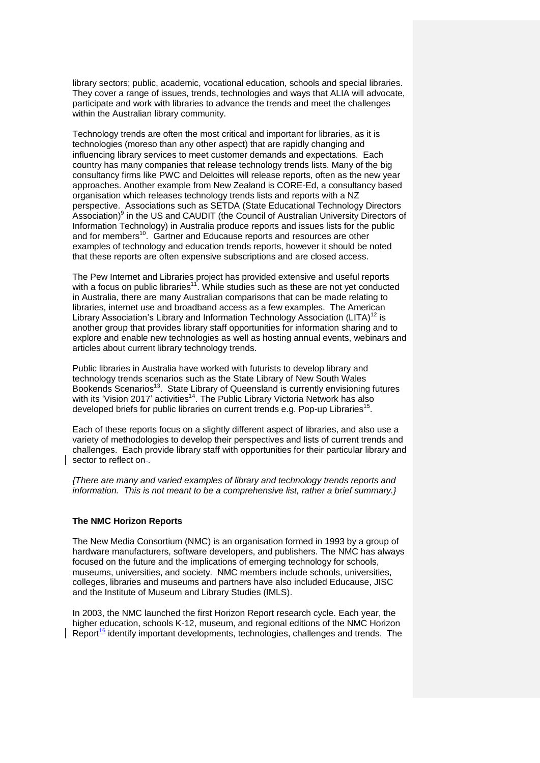library sectors; public, academic, vocational education, schools and special libraries. They cover a range of issues, trends, technologies and ways that ALIA will advocate, participate and work with libraries to advance the trends and meet the challenges within the Australian library community.

Technology trends are often the most critical and important for libraries, as it is technologies (moreso than any other aspect) that are rapidly changing and influencing library services to meet customer demands and expectations. Each country has many companies that release technology trends lists. Many of the big consultancy firms like PWC and Deloittes will release reports, often as the new year approaches. Another example from New Zealand is CORE-Ed, a consultancy based organisation which releases technology trends lists and reports with a NZ perspective. Associations such as SETDA (State Educational Technology Directors Association)<sup>9</sup> in the US and CAUDIT (the Council of Australian University Directors of Information Technology) in Australia produce reports and issues lists for the public and for members<sup>10</sup>. Gartner and Educause reports and resources are other examples of technology and education trends reports, however it should be noted that these reports are often expensive subscriptions and are closed access.

The Pew Internet and Libraries project has provided extensive and useful reports with a focus on public libraries<sup>11</sup>. While studies such as these are not yet conducted in Australia, there are many Australian comparisons that can be made relating to libraries, internet use and broadband access as a few examples. The American Library Association's Library and Information Technology Association (LITA)<sup>12</sup> is another group that provides library staff opportunities for information sharing and to explore and enable new technologies as well as hosting annual events, webinars and articles about current library technology trends.

Public libraries in Australia have worked with futurists to develop library and technology trends scenarios such as the State Library of New South Wales Bookends Scenarios<sup>13</sup>. State Library of Queensland is currently envisioning futures with its 'Vision 2017' activities<sup>14</sup>. The Public Library Victoria Network has also developed briefs for public libraries on current trends e.g. Pop-up Libraries<sup>15</sup>.

Each of these reports focus on a slightly different aspect of libraries, and also use a variety of methodologies to develop their perspectives and lists of current trends and challenges. Each provide library staff with opportunities for their particular library and sector to reflect on-.

*{There are many and varied examples of library and technology trends reports and information. This is not meant to be a comprehensive list, rather a brief summary.}*

## **The NMC Horizon Reports**

The New Media Consortium (NMC) is an organisation formed in 1993 by a group of hardware manufacturers, software developers, and publishers. The NMC has always focused on the future and the implications of emerging technology for schools, museums, universities, and society. NMC members include schools, universities, colleges, libraries and museums and partners have also included Educause, JISC and the Institute of Museum and Library Studies (IMLS).

In 2003, the NMC launched the first Horizon Report research cycle. Each year, the higher education, schools K-12, museum, and regional editions of the NMC Horizon Report $\frac{16}{16}$  identify important developments, technologies, challenges and trends. The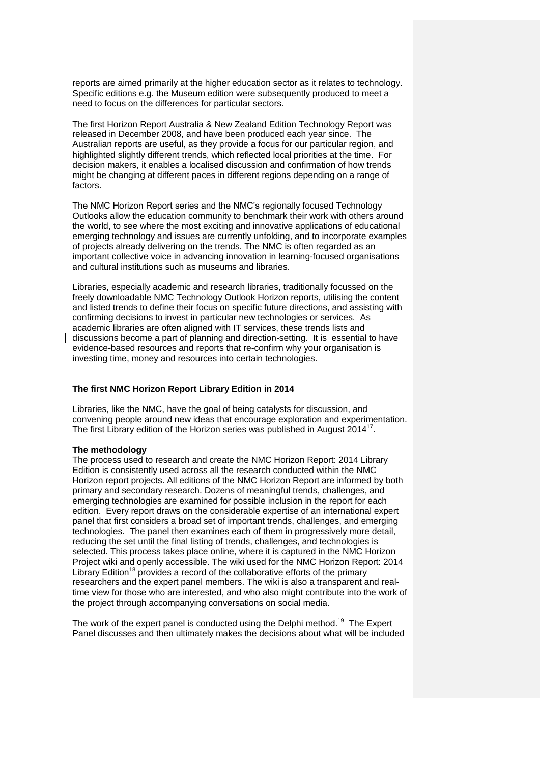reports are aimed primarily at the higher education sector as it relates to technology. Specific editions e.g. the Museum edition were subsequently produced to meet a need to focus on the differences for particular sectors.

The first Horizon Report Australia & New Zealand Edition Technology Report was released in December 2008, and have been produced each year since. The Australian reports are useful, as they provide a focus for our particular region, and highlighted slightly different trends, which reflected local priorities at the time. For decision makers, it enables a localised discussion and confirmation of how trends might be changing at different paces in different regions depending on a range of factors.

The NMC Horizon Report series and the NMC's regionally focused Technology Outlooks allow the education community to benchmark their work with others around the world, to see where the most exciting and innovative applications of educational emerging technology and issues are currently unfolding, and to incorporate examples of projects already delivering on the trends. The NMC is often regarded as an important collective voice in advancing innovation in learning-focused organisations and cultural institutions such as museums and libraries.

Libraries, especially academic and research libraries, traditionally focussed on the freely downloadable NMC Technology Outlook Horizon reports, utilising the content and listed trends to define their focus on specific future directions, and assisting with confirming decisions to invest in particular new technologies or services. As academic libraries are often aligned with IT services, these trends lists and discussions become a part of planning and direction-setting. It is essential to have evidence-based resources and reports that re-confirm why your organisation is investing time, money and resources into certain technologies.

## **The first NMC Horizon Report Library Edition in 2014**

Libraries, like the NMC, have the goal of being catalysts for discussion, and convening people around new ideas that encourage exploration and experimentation. The first Library edition of the Horizon series was published in August 2014<sup>17</sup>.

#### **The methodology**

The process used to research and create the NMC Horizon Report: 2014 Library Edition is consistently used across all the research conducted within the NMC Horizon report projects. All editions of the NMC Horizon Report are informed by both primary and secondary research. Dozens of meaningful trends, challenges, and emerging technologies are examined for possible inclusion in the report for each edition. Every report draws on the considerable expertise of an international expert panel that first considers a broad set of important trends, challenges, and emerging technologies. The panel then examines each of them in progressively more detail, reducing the set until the final listing of trends, challenges, and technologies is selected. This process takes place online, where it is captured in the NMC Horizon Project wiki and openly accessible. The wiki used for the NMC Horizon Report: 2014 Library Edition<sup>18</sup> provides a record of the collaborative efforts of the primary researchers and the expert panel members. The wiki is also a transparent and realtime view for those who are interested, and who also might contribute into the work of the project through accompanying conversations on social media.

The work of the expert panel is conducted using the Delphi method.<sup>19</sup> The Expert Panel discusses and then ultimately makes the decisions about what will be included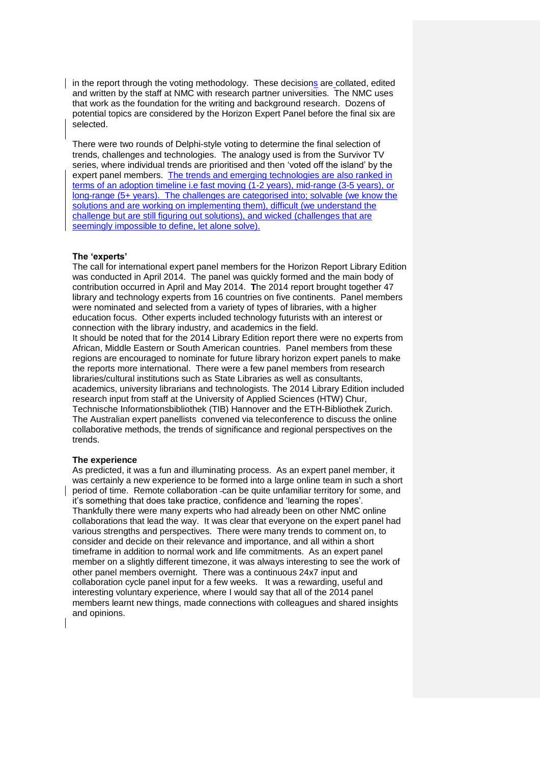$\vert$  in the report through the voting methodology. These decisions are collated, edited and written by the staff at NMC with research partner universities. The NMC uses that work as the foundation for the writing and background research. Dozens of potential topics are considered by the Horizon Expert Panel before the final six are selected.

There were two rounds of Delphi-style voting to determine the final selection of trends, challenges and technologies. The analogy used is from the Survivor TV series, where individual trends are prioritised and then 'voted off the island' by the expert panel members. The trends and emerging technologies are also ranked in terms of an adoption timeline i.e fast moving (1-2 years), mid-range (3-5 years), or long-range (5+ years). The challenges are categorised into; solvable (we know the solutions and are working on implementing them), difficult (we understand the challenge but are still figuring out solutions), and wicked (challenges that are seemingly impossible to define, let alone solve).

#### **The 'experts'**

The call for international expert panel members for the Horizon Report Library Edition was conducted in April 2014. The panel was quickly formed and the main body of contribution occurred in April and May 2014. **T**he 2014 report brought together 47 library and technology experts from 16 countries on five continents. Panel members were nominated and selected from a variety of types of libraries, with a higher education focus. Other experts included technology futurists with an interest or connection with the library industry, and academics in the field. It should be noted that for the 2014 Library Edition report there were no experts from African, Middle Eastern or South American countries. Panel members from these regions are encouraged to nominate for future library horizon expert panels to make the reports more international. There were a few panel members from research libraries/cultural institutions such as State Libraries as well as consultants, academics, university librarians and technologists. The 2014 Library Edition included research input from staff at the University of Applied Sciences (HTW) Chur, Technische Informationsbibliothek (TIB) Hannover and the ETH-Bibliothek Zurich. The Australian expert panellists convened via teleconference to discuss the online collaborative methods, the trends of significance and regional perspectives on the trends.

### **The experience**

As predicted, it was a fun and illuminating process. As an expert panel member, it was certainly a new experience to be formed into a large online team in such a short period of time. Remote collaboration -can be quite unfamiliar territory for some, and it's something that does take practice, confidence and 'learning the ropes'. Thankfully there were many experts who had already been on other NMC online collaborations that lead the way. It was clear that everyone on the expert panel had various strengths and perspectives. There were many trends to comment on, to consider and decide on their relevance and importance, and all within a short timeframe in addition to normal work and life commitments. As an expert panel member on a slightly different timezone, it was always interesting to see the work of other panel members overnight. There was a continuous 24x7 input and collaboration cycle panel input for a few weeks. It was a rewarding, useful and interesting voluntary experience, where I would say that all of the 2014 panel members learnt new things, made connections with colleagues and shared insights and opinions.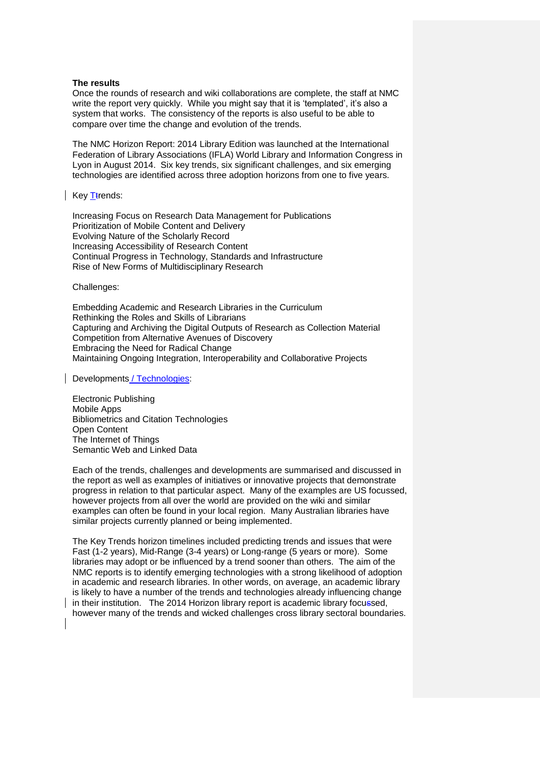#### **The results**

Once the rounds of research and wiki collaborations are complete, the staff at NMC write the report very quickly. While you might say that it is 'templated', it's also a system that works. The consistency of the reports is also useful to be able to compare over time the change and evolution of the trends.

The NMC Horizon Report: 2014 Library Edition was launched at the International Federation of Library Associations (IFLA) World Library and Information Congress in Lyon in August 2014. Six key trends, six significant challenges, and six emerging technologies are identified across three adoption horizons from one to five years.

Key Ttrends:

Increasing Focus on Research Data Management for Publications Prioritization of Mobile Content and Delivery Evolving Nature of the Scholarly Record Increasing Accessibility of Research Content Continual Progress in Technology, Standards and Infrastructure Rise of New Forms of Multidisciplinary Research

Challenges:

Embedding Academic and Research Libraries in the Curriculum Rethinking the Roles and Skills of Librarians Capturing and Archiving the Digital Outputs of Research as Collection Material Competition from Alternative Avenues of Discovery Embracing the Need for Radical Change Maintaining Ongoing Integration, Interoperability and Collaborative Projects

Developments / Technologies:

Electronic Publishing Mobile Apps Bibliometrics and Citation Technologies Open Content The Internet of Things Semantic Web and Linked Data

Each of the trends, challenges and developments are summarised and discussed in the report as well as examples of initiatives or innovative projects that demonstrate progress in relation to that particular aspect. Many of the examples are US focussed, however projects from all over the world are provided on the wiki and similar examples can often be found in your local region. Many Australian libraries have similar projects currently planned or being implemented.

The Key Trends horizon timelines included predicting trends and issues that were Fast (1-2 years), Mid-Range (3-4 years) or Long-range (5 years or more). Some libraries may adopt or be influenced by a trend sooner than others. The aim of the NMC reports is to identify emerging technologies with a strong likelihood of adoption in academic and research libraries. In other words, on average, an academic library is likely to have a number of the trends and technologies already influencing change in their institution. The 2014 Horizon library report is academic library focussed, however many of the trends and wicked challenges cross library sectoral boundaries.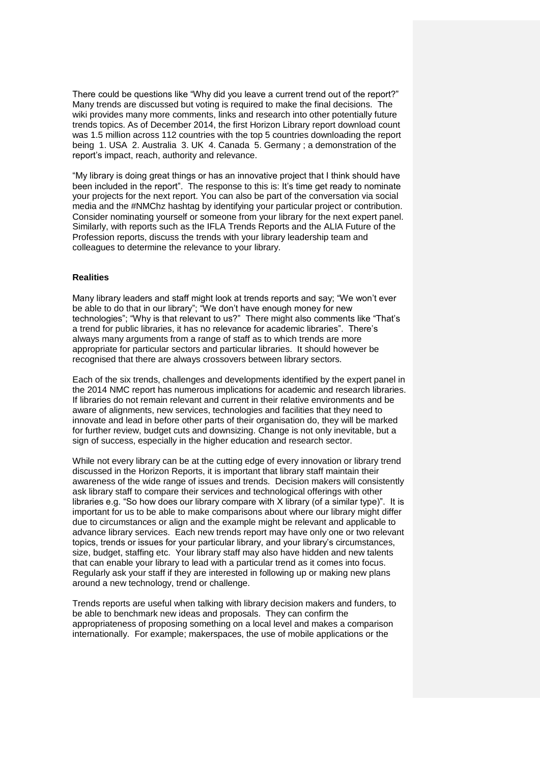There could be questions like "Why did you leave a current trend out of the report?" Many trends are discussed but voting is required to make the final decisions. The wiki provides many more comments, links and research into other potentially future trends topics. As of December 2014, the first Horizon Library report download count was 1.5 million across 112 countries with the top 5 countries downloading the report being 1. USA 2. Australia 3. UK 4. Canada 5. Germany ; a demonstration of the report's impact, reach, authority and relevance.

"My library is doing great things or has an innovative project that I think should have been included in the report". The response to this is: It's time get ready to nominate your projects for the next report. You can also be part of the conversation via social media and the #NMChz hashtag by identifying your particular project or contribution. Consider nominating yourself or someone from your library for the next expert panel. Similarly, with reports such as the IFLA Trends Reports and the ALIA Future of the Profession reports, discuss the trends with your library leadership team and colleagues to determine the relevance to your library.

## **Realities**

Many library leaders and staff might look at trends reports and say; "We won't ever be able to do that in our library"; "We don't have enough money for new technologies"; "Why is that relevant to us?" There might also comments like "That's a trend for public libraries, it has no relevance for academic libraries". There's always many arguments from a range of staff as to which trends are more appropriate for particular sectors and particular libraries. It should however be recognised that there are always crossovers between library sectors.

Each of the six trends, challenges and developments identified by the expert panel in the 2014 NMC report has numerous implications for academic and research libraries. If libraries do not remain relevant and current in their relative environments and be aware of alignments, new services, technologies and facilities that they need to innovate and lead in before other parts of their organisation do, they will be marked for further review, budget cuts and downsizing. Change is not only inevitable, but a sign of success, especially in the higher education and research sector.

While not every library can be at the cutting edge of every innovation or library trend discussed in the Horizon Reports, it is important that library staff maintain their awareness of the wide range of issues and trends. Decision makers will consistently ask library staff to compare their services and technological offerings with other libraries e.g. "So how does our library compare with X library (of a similar type)". It is important for us to be able to make comparisons about where our library might differ due to circumstances or align and the example might be relevant and applicable to advance library services. Each new trends report may have only one or two relevant topics, trends or issues for your particular library, and your library's circumstances, size, budget, staffing etc. Your library staff may also have hidden and new talents that can enable your library to lead with a particular trend as it comes into focus. Regularly ask your staff if they are interested in following up or making new plans around a new technology, trend or challenge.

Trends reports are useful when talking with library decision makers and funders, to be able to benchmark new ideas and proposals. They can confirm the appropriateness of proposing something on a local level and makes a comparison internationally. For example; makerspaces, the use of mobile applications or the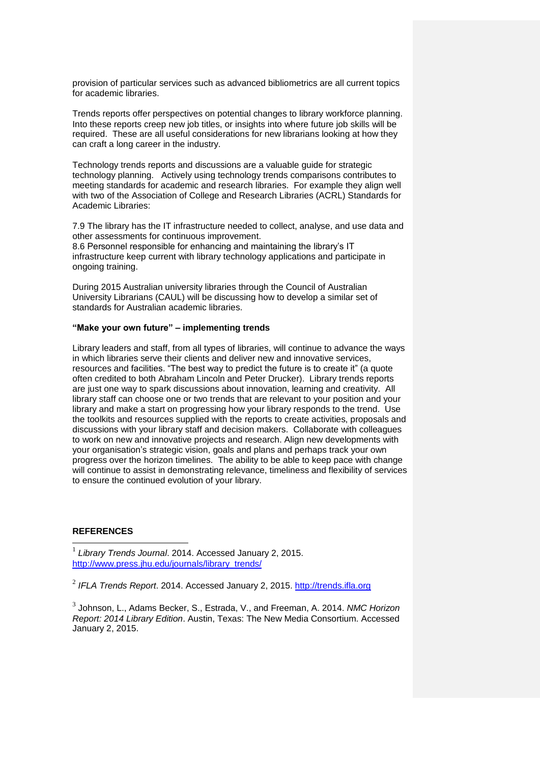provision of particular services such as advanced bibliometrics are all current topics for academic libraries.

Trends reports offer perspectives on potential changes to library workforce planning. Into these reports creep new job titles, or insights into where future job skills will be required. These are all useful considerations for new librarians looking at how they can craft a long career in the industry.

Technology trends reports and discussions are a valuable guide for strategic technology planning. Actively using technology trends comparisons contributes to meeting standards for academic and research libraries. For example they align well with two of the Association of College and Research Libraries (ACRL) Standards for Academic Libraries:

7.9 The library has the IT infrastructure needed to collect, analyse, and use data and other assessments for continuous improvement.

8.6 Personnel responsible for enhancing and maintaining the library's IT infrastructure keep current with library technology applications and participate in ongoing training.

During 2015 Australian university libraries through the Council of Australian University Librarians (CAUL) will be discussing how to develop a similar set of standards for Australian academic libraries.

### **"Make your own future" – implementing trends**

Library leaders and staff, from all types of libraries, will continue to advance the ways in which libraries serve their clients and deliver new and innovative services, resources and facilities. "The best way to predict the future is to create it" (a quote often credited to both Abraham Lincoln and Peter Drucker). Library trends reports are just one way to spark discussions about innovation, learning and creativity. All library staff can choose one or two trends that are relevant to your position and your library and make a start on progressing how your library responds to the trend. Use the toolkits and resources supplied with the reports to create activities, proposals and discussions with your library staff and decision makers. Collaborate with colleagues to work on new and innovative projects and research. Align new developments with your organisation's strategic vision, goals and plans and perhaps track your own progress over the horizon timelines. The ability to be able to keep pace with change will continue to assist in demonstrating relevance, timeliness and flexibility of services to ensure the continued evolution of your library.

## **REFERENCES**

l

1 *Library Trends Journal*. 2014. Accessed January 2, 2015. [http://www.press.jhu.edu/journals/library\\_trends/](http://www.press.jhu.edu/journals/library_trends/)

2 *IFLA Trends Report*. 2014. Accessed January 2, 2015. [http://trends.ifla.org](http://trends.ifla.org/)

3 Johnson, L., Adams Becker, S., Estrada, V., and Freeman, A. 2014. *NMC Horizon Report: 2014 Library Edition*. Austin, Texas: The New Media Consortium. Accessed January 2, 2015.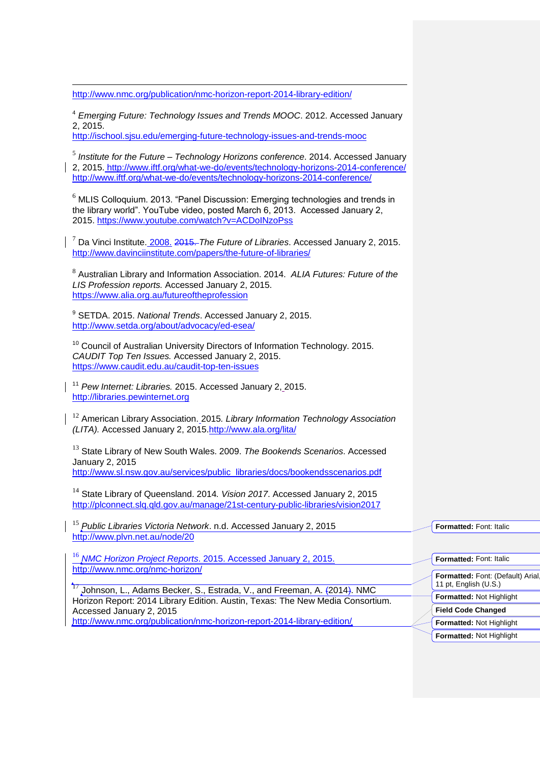<http://www.nmc.org/publication/nmc-horizon-report-2014-library-edition/>

 $\overline{a}$ 

<sup>4</sup> *Emerging Future: Technology Issues and Trends MOOC*. 2012. Accessed January 2, 2015. <http://ischool.sjsu.edu/emerging-future-technology-issues-and-trends-mooc>

5 *Institute for the Future – Technology Horizons conference*. 2014. Accessed January 2, 2015. <http://www.iftf.org/what-we-do/events/technology-horizons-2014-conference/> <http://www.iftf.org/what-we-do/events/technology-horizons-2014-conference/>

 $6$  MLIS Colloquium. 2013. "Panel Discussion: Emerging technologies and trends in the library world". YouTube video, posted March 6, 2013. Accessed January 2, 2015.<https://www.youtube.com/watch?v=ACDoINzoPss>

<sup>7</sup> Da Vinci Institute. 2008. 2015. *The Future of Libraries*. Accessed January 2, 2015. <http://www.davinciinstitute.com/papers/the-future-of-libraries/>

8 Australian Library and Information Association. 2014. *ALIA Futures: Future of the LIS Profession reports.* Accessed January 2, 2015. <https://www.alia.org.au/futureoftheprofession>

<sup>9</sup> SETDA. 2015. *National Trends*. Accessed January 2, 2015. <http://www.setda.org/about/advocacy/ed-esea/>

<sup>10</sup> Council of Australian University Directors of Information Technology. 2015. *CAUDIT Top Ten Issues.* Accessed January 2, 2015. <https://www.caudit.edu.au/caudit-top-ten-issues>

<sup>11</sup> *Pew Internet: Libraries.* 2015. Accessed January 2, 2015. [http://libraries.pewinternet.org](http://libraries.pewinternet.org/)

<sup>12</sup> American Library Association. 2015*. Library Information Technology Association (LITA).* Accessed January 2, 2015[.http://www.ala.org/lita/](http://www.ala.org/lita/)

<sup>13</sup> State Library of New South Wales. 2009. *The Bookends Scenarios*. Accessed January 2, 2015 [http://www.sl.nsw.gov.au/services/public\\_libraries/docs/bookendsscenarios.pdf](http://www.sl.nsw.gov.au/services/public_libraries/docs/bookendsscenarios.pdf)

<sup>14</sup> State Library of Queensland. 2014*. Vision 2017*. Accessed January 2, 2015 <http://plconnect.slq.qld.gov.au/manage/21st-century-public-libraries/vision2017>

<sup>15</sup> *Public Libraries Victoria Network*. n.d. Accessed January 2, 2015 <http://www.plvn.net.au/node/20>

<sup>16</sup> *NMC Horizon Project Reports*. 2015. Accessed January 2, 2015. <http://www.nmc.org/nmc-horizon/>

<sup>17</sup> Johnson, L., Adams Becker, S., Estrada, V., and Freeman, A. (2014). NMC Horizon Report: 2014 Library Edition. Austin, Texas: The New Media Consortium. Accessed January 2, 2015

<http://www.nmc.org/publication/nmc-horizon-report-2014-library-edition/>

**Formatted:** Font: Italic

| Formatted: Font: Italic                                    |
|------------------------------------------------------------|
|                                                            |
| Formatted: Font: (Default) Arial,<br>11 pt, English (U.S.) |
| Formatted: Not Highlight                                   |
| <b>Field Code Changed</b>                                  |
| Formatted: Not Highlight                                   |
| Formatted: Not Highlight                                   |